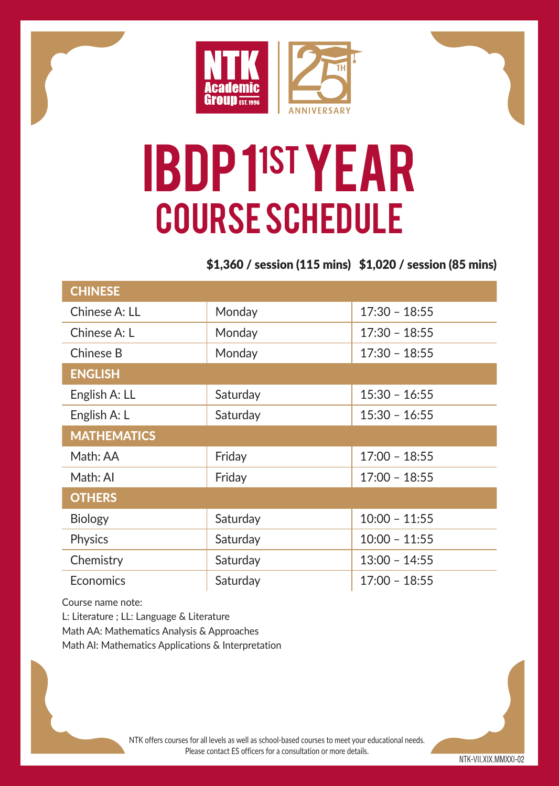

# IBDP 11ST YEAR Course Schedule

\$1,360 / session (115 mins) \$1,020 / session (85 mins)

| <b>CHINESE</b>     |          |                 |  |
|--------------------|----------|-----------------|--|
| Chinese A: LL      | Monday   | $17:30 - 18:55$ |  |
| Chinese A: I       | Monday   | $17:30 - 18:55$ |  |
| Chinese B          | Monday   | $17:30 - 18:55$ |  |
| <b>ENGLISH</b>     |          |                 |  |
| English A: LL      | Saturday | $15:30 - 16:55$ |  |
| English A: L       | Saturday | $15:30 - 16:55$ |  |
| <b>MATHEMATICS</b> |          |                 |  |
| Math: AA           | Friday   | $17:00 - 18:55$ |  |
| Math: Al           | Friday   | $17:00 - 18:55$ |  |
| <b>OTHERS</b>      |          |                 |  |
| <b>Biology</b>     | Saturday | $10:00 - 11:55$ |  |
| Physics            | Saturday | $10:00 - 11:55$ |  |
| Chemistry          | Saturday | $13:00 - 14:55$ |  |
| Economics          | Saturday | $17:00 - 18:55$ |  |

Course name note:

L: Literature ; LL: Language & Literature

Math AA: Mathematics Analysis & Approaches

Math AI: Mathematics Applications & Interpretation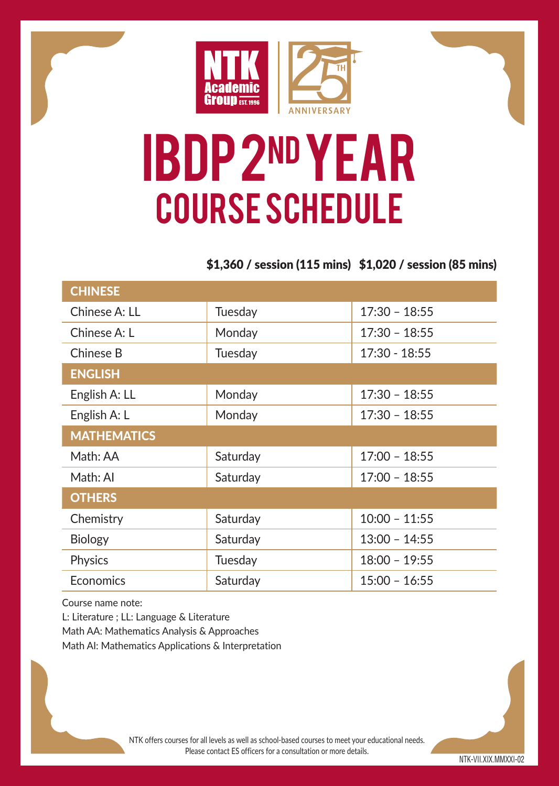

## IBDP 2nd YEAR Course Schedule

### \$1,360 / session (115 mins) \$1,020 / session (85 mins)

| <b>CHINESE</b>     |          |                 |  |
|--------------------|----------|-----------------|--|
| Chinese A: LL      | Tuesday  | $17:30 - 18:55$ |  |
| Chinese A: I       | Monday   | $17:30 - 18:55$ |  |
| Chinese B          | Tuesday  | $17:30 - 18:55$ |  |
| <b>ENGLISH</b>     |          |                 |  |
| English A: LL      | Monday   | $17:30 - 18:55$ |  |
| English A: L       | Monday   | $17:30 - 18:55$ |  |
| <b>MATHEMATICS</b> |          |                 |  |
| Math: AA           | Saturday | $17:00 - 18:55$ |  |
| Math: Al           | Saturday | $17:00 - 18:55$ |  |
| <b>OTHERS</b>      |          |                 |  |
| Chemistry          | Saturday | $10:00 - 11:55$ |  |
| <b>Biology</b>     | Saturday | $13:00 - 14:55$ |  |
| Physics            | Tuesday  | $18:00 - 19:55$ |  |
| <b>F</b> conomics  | Saturday | $15:00 - 16:55$ |  |

Course name note:

L: Literature ; LL: Language & Literature Math AA: Mathematics Analysis & Approaches Math AI: Mathematics Applications & Interpretation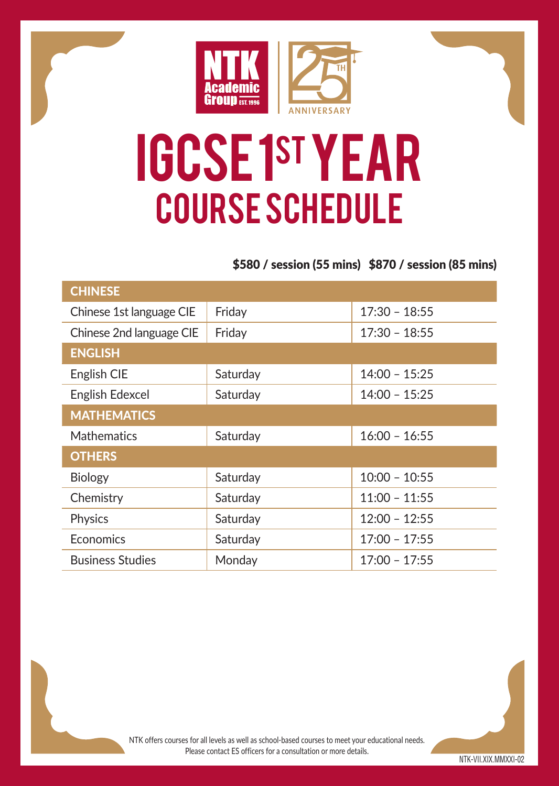

## IGCSE 1st YEAR Course Schedule

#### \$580 / session (55 mins) \$870 / session (85 mins)

| <b>CHINESE</b>           |          |                 |  |
|--------------------------|----------|-----------------|--|
| Chinese 1st language CIE | Friday   | $17:30 - 18:55$ |  |
| Chinese 2nd language CIE | Friday   | $17:30 - 18:55$ |  |
| <b>ENGLISH</b>           |          |                 |  |
| English CIE              | Saturday | $14:00 - 15:25$ |  |
| English Edexcel          | Saturday | $14:00 - 15:25$ |  |
| <b>MATHEMATICS</b>       |          |                 |  |
| <b>Mathematics</b>       | Saturday | $16:00 - 16:55$ |  |
| <b>OTHERS</b>            |          |                 |  |
| <b>Biology</b>           | Saturday | $10:00 - 10:55$ |  |
| Chemistry                | Saturday | $11:00 - 11:55$ |  |
| Physics                  | Saturday | $12:00 - 12:55$ |  |
| Economics                | Saturday | $17:00 - 17:55$ |  |
| <b>Business Studies</b>  | Monday   | $17:00 - 17:55$ |  |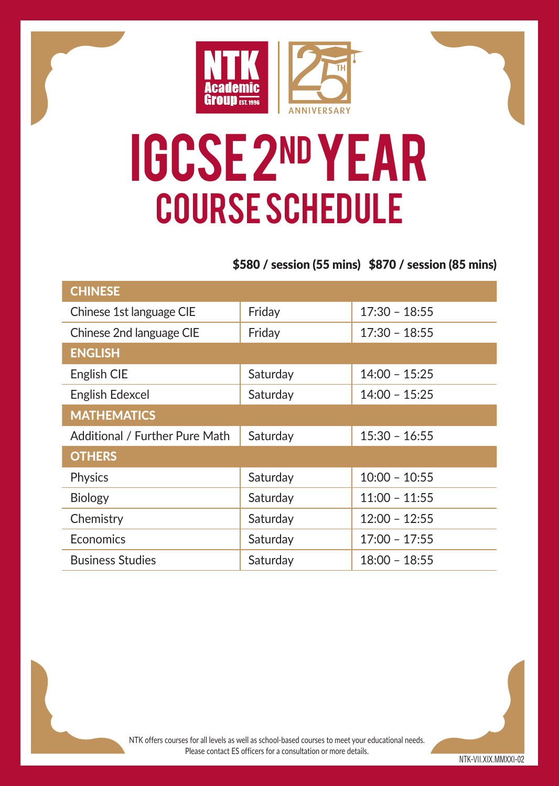

## IGCSE 2nd YEAR Course Schedule

#### \$580 / session (55 mins) \$870 / session (85 mins)

| <b>CHINESE</b>                 |          |                 |  |
|--------------------------------|----------|-----------------|--|
| Chinese 1st language CIE       | Friday   | $17:30 - 18:55$ |  |
| Chinese 2nd language CIE       | Friday   | $17:30 - 18:55$ |  |
| <b>ENGLISH</b>                 |          |                 |  |
| English CIE                    | Saturday | $14:00 - 15:25$ |  |
| English Edexcel                | Saturday | $14:00 - 15:25$ |  |
| <b>MATHEMATICS</b>             |          |                 |  |
| Additional / Further Pure Math | Saturday | $15:30 - 16:55$ |  |
| <b>OTHERS</b>                  |          |                 |  |
| Physics                        | Saturday | $10:00 - 10:55$ |  |
| <b>Biology</b>                 | Saturday | $11:00 - 11:55$ |  |
| Chemistry                      | Saturday | $12:00 - 12:55$ |  |
| Economics                      | Saturday | $17:00 - 17:55$ |  |
| <b>Business Studies</b>        | Saturday | $18:00 - 18:55$ |  |

NTK offers courses for all levels as well as school-based courses to meet your educational needs. Please contact ES officers for a consultation or more details.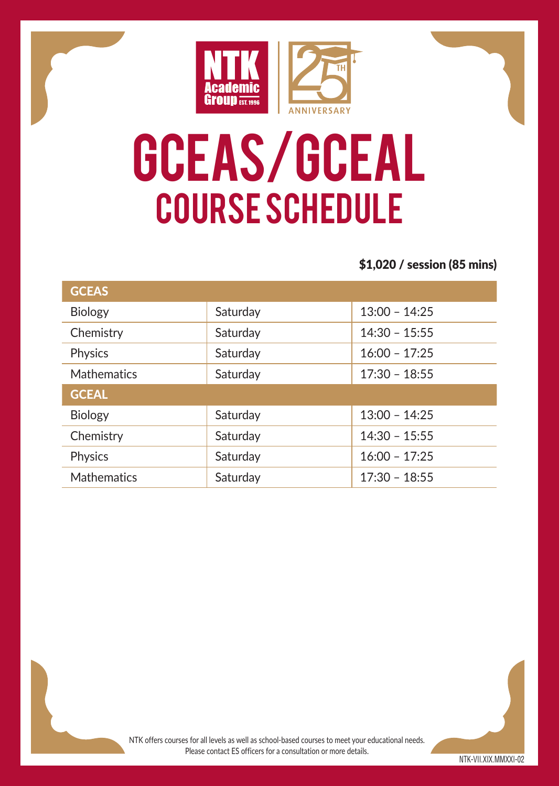

# GCEAS/GCEAL Course Schedule

#### \$1,020 / session (85 mins)

| <b>GCEAS</b>       |          |                 |
|--------------------|----------|-----------------|
| <b>Biology</b>     | Saturday | $13:00 - 14:25$ |
| Chemistry          | Saturday | $14:30 - 15:55$ |
| Physics            | Saturday | $16:00 - 17:25$ |
| <b>Mathematics</b> | Saturday | $17:30 - 18:55$ |
| <b>GCEAL</b>       |          |                 |
| <b>Biology</b>     | Saturday | $13:00 - 14:25$ |
| Chemistry          | Saturday | $14:30 - 15:55$ |
| Physics            | Saturday | $16:00 - 17:25$ |
| <b>Mathematics</b> | Saturday | $17:30 - 18:55$ |

NTK offers courses for all levels as well as school-based courses to meet your educational needs. Please contact ES officers for a consultation or more details.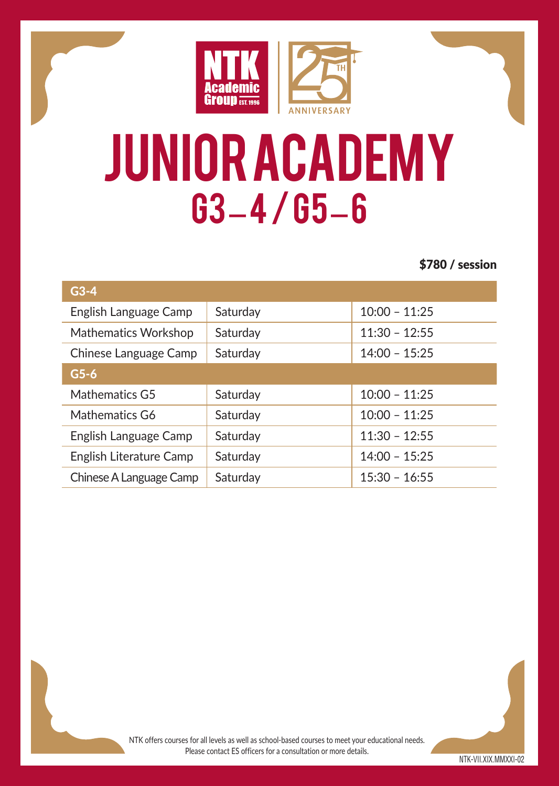

## Junior academy G3 – 4 / G5 – 6

\$780 / session

| $G3-4$                  |          |                 |  |
|-------------------------|----------|-----------------|--|
| English Language Camp   | Saturday | $10:00 - 11:25$ |  |
| Mathematics Workshop    | Saturday | $11:30 - 12:55$ |  |
| Chinese Language Camp   | Saturday | $14:00 - 15:25$ |  |
| $G5-6$                  |          |                 |  |
| Mathematics G5          | Saturday | $10:00 - 11:25$ |  |
| Mathematics G6          | Saturday | $10:00 - 11:25$ |  |
| English Language Camp   | Saturday | $11:30 - 12:55$ |  |
| English Literature Camp | Saturday | $14:00 - 15:25$ |  |
| Chinese A Language Camp | Saturdav | $15:30 - 16:55$ |  |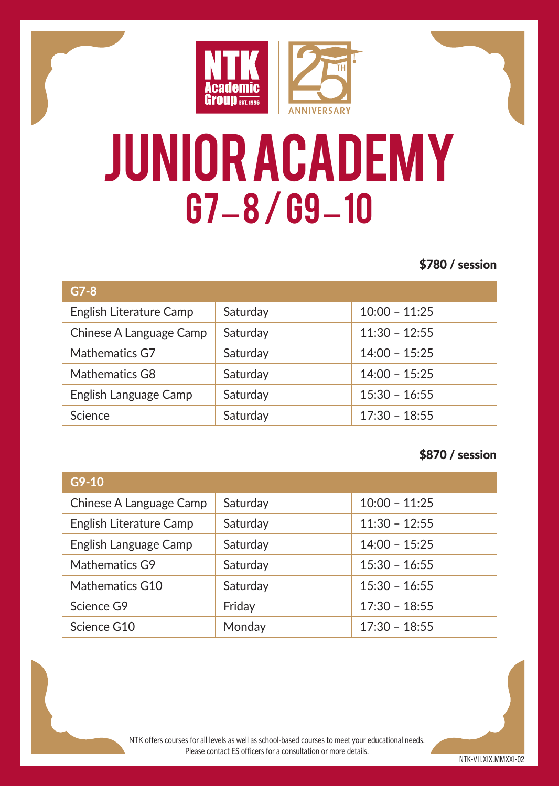

# Junior academy G7 – 8 / G9 – 10

#### \$780 / session

| $G7-8$                  |          |                 |
|-------------------------|----------|-----------------|
| English Literature Camp | Saturday | $10:00 - 11:25$ |
| Chinese A Language Camp | Saturday | $11:30 - 12:55$ |
| Mathematics G7          | Saturday | $14:00 - 15:25$ |
| Mathematics G8          | Saturday | $14:00 - 15:25$ |
| English Language Camp   | Saturday | $15:30 - 16:55$ |
| Science                 | Saturday | $17:30 - 18:55$ |

#### \$870 / session

| $G9-10$                 |          |                 |
|-------------------------|----------|-----------------|
| Chinese A Language Camp | Saturday | $10:00 - 11:25$ |
| English Literature Camp | Saturday | $11:30 - 12:55$ |
| English Language Camp   | Saturday | $14:00 - 15:25$ |
| Mathematics G9          | Saturday | $15:30 - 16:55$ |
| Mathematics G10         | Saturday | $15:30 - 16:55$ |
| Science G9              | Friday   | $17:30 - 18:55$ |
| Science G10             | Monday   | $17:30 - 18:55$ |